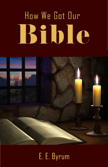# How We Got Dur Bible



E. E. Byrum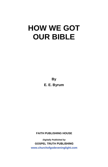**By E. E. Byrum** 

**FAITH PUBLISHING HOUSE** 

*Digitally Published by*  **GOSPEL TRUTH PUBLISHING**

**<www.churchofgodeveninglight.com>**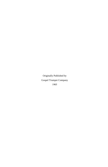Originally Published by Gospel Trumpet Company 1905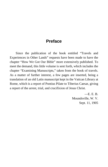## **Preface**

Since the publication of the book entitled "Travels and Experiences in Other Lands" requests have been made to have the chapter "How We Got Our Bible" more extensively published. To meet the demand, this little volume is sent forth, which includes the chapter "Examining Manuscripts," taken from the book of travels. As a matter of further interest, a few pages are inserted, being a translation of an old Latin manuscript kept in the Vatican Library at Rome, which is a report of Pontius Pilate to Tiberius Caesar, giving a report of the arrest, trial, and crucifixion of Jesus Christ.

> $—E. E. B.$ Moundsville, W. V. Sept. 11, 1905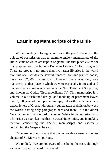# **Examining Manuscripts of the Bible**

While traveling in foreign countries in the year 1904, one of the objects of our mission was to examine ancient manuscripts of the Bible, some of which are kept in England. The first place visited for that purpose was the famous Bodleian Library, Oxford, England. There are probably not more than two larger libraries in the world than this one. Besides the several hundred thousand printed books, there are 32,000 manuscripts. However, there was only one manuscript at that place in which we were especially interested, and that was the volume which contains the New Testament Scriptures, and known as Codex Tischendorfianus IV. This manuscript is a volume in old-fashioned design, and made up of parchment leaves over 1,100 years old, not printed in type, but written in large square capital letters of Greek, without any punctuation or division between the words, having only paragraphs here and there. It is the oldest New Testament that Oxford possesses. While in conversation with a librarian we soon learned that he was a higher critic, and in making mention concerning the ancient manuscripts and especially concerning the Gospels, he said:

"You are no doubt aware that the last twelve verses of the last chapter of St. Mark are spurious."

We replied, "We are not aware of this being the case, although we have frequently heard it so stated."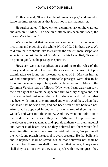To this he said, "It is not in the old manuscripts," and aimed to leave the impression on us that it was not in this manuscript.

He further stated, "I have written a commentary on St. Matthew and also on St. Mark. The one on Matthew has been published; the one on Mark has not."

We soon found that he was not very much of a believer in preaching and practicing the whole Word of God in these days. We told him that we should like to examine the ancient manuscript, and especially the last chapter of St. Mark. To this he replied, "It would do you no good, as the passage is spurious."

However, we made application according to the rules of the library, and he could not refuse letting us see the manuscript. Upon examination we found the sixteenth chapter of St. Mark in full, as we had anticipated. Other questionable passages were also to be found in this manuscript. The questionable verses in St. Mark in the Common Version read as follows: "Now when Jesus was risen early the first day of the week, he appeared first to Mary Magdalene, out of whom he had cast seven devils. And she went and told them that had been with him, as they mourned and wept. And they, when they had heard that he was alive, and had been seen of her, believed not. After that he appeared in another form unto two of them, as they walked, and went into the country. And they went and told it unto the residue: neither believed they them. Afterward he appeared unto the eleven as they sat at meat, and upbraided them with their unbelief and hardness of heart, because they believed not them which had seen him after he was risen. And he said unto them, Go ye into all the world, and preach the gospel to every creature. He that believeth and is baptized shall be saved; but he that believeth not shall be damned. And these signs shall follow them that believe; In my name shall they cast out devils; they shall speak with new tongues; they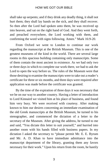shall take up serpents; and if they drink any deadly thing, it shall not hurt them; they shall lay hands on the sick, and they shall recover. So then after the Lord had spoken unto them, he was received up into heaven, and sat on the right hand of God. And they went forth, and preached everywhere, the Lord working with them, and confirming the word with signs following. Amen." Mark 16:9-20.

From Oxford we went to London to continue our work regarding the manuscript at the British Museum. This is one of the greatest museums of the kind in the world. There are several large rooms in this spacious building containing only manuscripts. Some of them contain the most ancient in existence. As we had only two or three days in which to complete our work there, we had to ask the Lord to open the way before us. The rules of the Museum were that those desiring to examine the manuscripts were to take out a reader's certificate for three or six months, and three days were required after application was made before the certificate was granted.

By the time of the expiration of three days it was necessary that we be on our way to another country. Having a letter of introduction to Lord Kinnaird we visited him at his place of business, and found him very busy. We were received with courtesy. After making known to him our desires concerning an immediate examination of the old Greek manuscripts at the British Museum, he turned to his stenographer, and commenced the dictation of a letter to the secretary of the Museum. After giving the address, he turned to me and said, "You dictate this letter to suit yourself," and hurried into another room with his hands filled with business papers. In my dictation I asked the secretary to "please permit Mr. E. E. Byrum and Mr. A. D. Khan to have immediate admittance into the manuscript department of the library, granting them any favors necessary for their work." Upon his return from the room, he hastily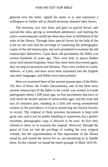glanced over the letter, signed his name to it, and expressed a willingness to further aid us should necessity demand other favors.

The secretary was very kind, and gave us special favors, and waived the rules, giving us immediate admittance, and mailing the notice concerning the certificate three days later in fulfillment of the rules of the library. Through these special favors by the help of the Lord we not only had the privilege of examining the photographic copies of the old manuscripts, but were permitted to examine the old manuscripts themselves. Upon these old parchments the Bible was written hundreds of years ago. They were kept in places hidden away until almost forgotten. Since they have been discovered again, they are kept in museums and libraries. They were written in Greek, Hebrew, or Latin, and have since been translated into the English and other languages, and Bibles have been printed.

Here we examined three of the ancient manuscripts of the Bible. The first of these, the Codex Alexanarinus, one of the three most ancient manuscripts of the Bible in the world, was written in Greek paleography about 1,500 years ago, on fine parchments that have so well stood the hostile attacks of unfavorable ages, and the wear and tear of centuries past, standing as a firm and strong monumental witness to the providence of God in preserving the Sacred Oracles in record. The original of these precious documents is kept with great care, and is not for public handling or inspection; but a perfect facsimile, photographic copy is allowed to be used. At first they refused to allow us to examine the original. However, through the grace of God we had the privilege of reading the very original volume, but the superintendent of that department of the library stood by and turned the leaves for us, not permitting us to handle them. In this volume we found the entire passage of Mark 16:9-20.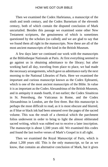Then we examined the Codex Harleianus, a manuscript of the ninth and tenth century, and the Codex Burneium of the eleventh century, both of which contain the disputed conclusion of Mark uncurtailed. Besides this passage we examined some other New Testament scriptures, the genuineness of which is sometimes questioned by the scholars (so called); and we are glad to say that we found them all right in the manuscripts. Now these are all of the most ancient manuscripts of the kind in the British Museum.

A few days later we continued our work with the manuscripts at the Bibliotheque Nationale at Paris. At first everything seemed to go against us in obtaining admittance to the library; but after working hard all day, traveling from place to place, we had made the necessary arrangements, which gave us admittance early the next morning to the National Libraries of Paris. Here we examined the important and curious manuscript known as the Codex Ephraemi, which is one of the most ancient manuscripts of the Bible. In value it is as important as the Codex Alexandrinus of the British Museum, and in antiquity it stands fourth, if not earlier; the Codex Sinaiticus in St. Petersburg, the Vaticanus in Rome, and the Codex Alexandrinus in London, are the first three. But this manuscript is perhaps the most difficult to read, as it is most obscure and blurred, as if blue or black ink had been smeared over the pages of the sacred volume. This was the result of a chemical which the parchment folios underwent in order to bring to light the almost obliterated sacred writing, which was rubbed out to receive a later inscription. The manuscript is about 1,500 years old. We examined this codex and found the last twelve verses of Mark's Gospel in it all right.

Then we examined the Royal Manuscript of Paris, which is about 1,200 years old. This is the only manuscript, so far as we know, that contains an alternative conclusion of Mark, but it gives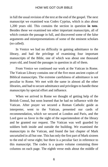in full the usual revision of the text at the end of the gospel. The next manuscript we examined was Codex Cyprius, which is also about 1,200 years old. This contains the section in question **in toto**. Besides these we examined ten other important manuscripts, all of which contain the passage in full, and discovered some of the false arguments and misrepresentations of some of the eminent scholars (so called).

In Venice we had no difficulty in gaining admittance to the library, and had the privilege of examining four important manuscripts of the Bible, one of which was about one thousand years old, and found the passages in question in all of them.

From Venice we continued our work at the Vatican in Rome. The Vatican Library contains one of the five most ancient copies of Biblical manuscripts. The extreme carefulness of admittance is not peculiar to Rome. We met with the same in almost all the other libraries, and had to secure admittance and privileges to handle these manuscripts by special effort and influence.

When we arrived in Rome we thought of getting help of the British Consul, but soon learned that he had no influence with the Vatican. After prayer we secured a Roman Catholic guide as interpreter, went to the Vatican, presented our cards of recommendation, which we secured at London and Paris, and the Lord gave us favor in the sight of the superintendent of the library and he granted our request. The Vatican was well guarded by soldiers both inside and outside the building. We examined the manuscripts in the Vatican, and found the last chapter of Mark uncurtailed in all but one. This has only the first part of Mark sixteen to the end of verse eight; but there is a peculiar fact in reference to this manuscript. The codex is a quarto volume containing three columns on each page. The eighth verse ends about the middle of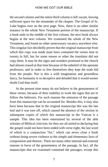the second column and the entire third column is left vacant, leaving sufficient space for the remainder of the chapter. The Gospel of St. Luke begins over on the next page. Now, there is no other similar instance in the whole New Testament portion of the manuscript. If a book ends in the middle of the first column, the next book always begins at the next column. We examined the whole of the New Testament, and found no other unnecessary vacancy anywhere else. This singular fact decidedly proves that the original manuscript from which this copy was made must have contained the verses nine to twenty in full, but for some reason or other the translator did not copy them. It may be the signs and wonders promised to the church had almost ceased at that time because of the unbelief of the apostate professors, and in order to free themselves they kept the truth hid from the people. Nor is this a wild imagination and groundless fancy, for humanity is so deceptive and deluded that it would sooner doubt God than itself.

At the present time many do not believe in the genuineness of these verses, because of their inability to work the signs that are to follow the believers. For such reasons the omission of the passage from this manuscript can be accounted for. Besides this, it may also have been because that in the original manuscript this was the last leaf and it was torn off, which caused the absence of the section in subsequent copies of which this manuscript in the Vatican is a sample. This idea has been entertained by several of the able scholars of Biblical criticism; for they are all united in declaring that the gospel could not have been ended with verse eight, the last word of which is a conjunction "for," which can never close a book without doing severe violence to the simple and elementary laws of composition and rhetoric. There are many other internal and external reasons in favor of the genuineness of the passage. In fact, all the manuscripts that we examined contained the passages, except this

7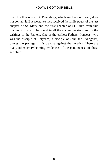one. Another one at St. Petersburg, which we have not seen, does not contain it. But we have since received facsimile pages of the last chapter of St. Mark and the first chapter of St. Luke from this manuscript. It is to be found in all the ancient versions and in the writings of the Fathers. One of the earliest Fathers, Irenaeus, who was the disciple of Polycarp, a disciple of John the Evangelist, quotes the passage in his treatise against the heretics. There are many other overwhelming evidences of the genuineness of these scriptures.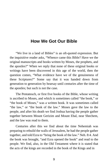# **How We Got Our Bible**

"We live in a land of Bibles" is an oft-quoted expression. But the inquisitive reader asks, "Whence came this Bible? Have we the original manuscripts and books written by Moses, the prophets, and the apostles?" When we reply that none of these original books or writings have been discovered in this age of the world, then the question comes, "What evidence have we of the genuineness of these Scriptures?" Some say that it was handed down from generation to generation by hearsay until centuries after the time of the apostles; but such is not the case.

The Pentateuch, or first five books of the Bible, whose writing is ascribed to Moses, and which is sometimes called "the book," or "the book of Moses," was a written book. It was sometimes called "the law," or "the book of the law." Moses gave the law to the people, and after his death we find Joshua having the people gather together between Mount Gerizim and Mount Ebal, near Shechem, and the law was read to them.

Centuries after this we find about the time Nehemiah was preparing to rebuild the walls of Jerusalem, he had the people gather together, and told Ezra to "bring the book of the law." Neh. 8:4. And the book was brought, "and Ezra opened the book" and read to the people. We find, also, in the Old Testament where it is stated that the acts of the kings are recorded in the book of the Kings and in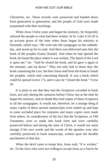Chronicles, etc. These records were preserved and handed down from generation to generation, and the people of God were made acquainted with their teachings.

When Jesus Christ came and began his ministry, he frequently referred the people to what had been written. In St. Luke 4:16-20 is an account given of the time when Jesus began his ministry at Nazareth, which says, "He went into the synagogue on the sabbathday, and stood up for to read. And there was delivered unto him the book of the prophet Esaias [Isaiah]. And when he had opened the book, he found the place where it was written, The Spirit of the Lord is upon me," etc. "And he closed the book, and he gave it again to the minister, and sat down." They not only had in those days the book containing the Law, but here Jesus read from the book or Isaiah the prophet, which told concerning himself. It was a book which could be opened (verse 17), and it says he "closed the book." Verse 20.

It is plain to see that they had the Scriptures recorded in book form, not only during the centuries before Christ, but at the time he began his ministry, and no doubt they had copies of these Scriptures in all the synagogues. It would not, therefore, be a strange thing if many copies of these ancient manuscripts were sealed up and kept in some secluded place for centuries and many copies were made from others. In consideration of the fact that the Scriptures, or Old Testament, were so made into book form and were carefully preserved before and during the time of Christ, it would not seem strange if his own words and the words of the apostles were also carefully preserved in book manuscript, written upon the durable parchments of that day.

When the devil came to tempt him, Jesus said, "It is written," etc. To the Jews who were not willing to accept Jesus as a Savior he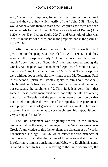said, "Search the Scriptures; for in them ye think ye have eternal life: and they are they which testify of me." John 5:39. Now, he would not have told them to search the Scriptures had there not been some records for them to search. There was a book of Psalms (Acts 1:20), which David wrote (Luke 20:42); and Jesus told of what was "written in the law of Moses, and in the prophets, and in the psalms." Luke 24:44.

After the death and resurrection of Jesus Christ we find Paul preaching to the people, as recorded in Acts 17:11, "and they searched the Scriptures daily." Upon this occasion there were "noble" Jews, and also "honorable" men and women among the Greeks. At one place was a man named Apollos, of whom it is said, that he was "mighty in the Scriptures." Acts 18:24. These Scriptures were without doubt the books or writings of the Old Testament. Paul in his second Epistle to Timothy spoke to him about the cloak, which, said he, "when thou comest, bring with thee, and the books, but especially the parchments." 2 Tim. 4:13. It is very likely that some of these books mentioned were not only the Old Testament, but also the Gospels; and the parchments were to be brought that Paul might complete the writing of the Epistles. The parchments were prepared skins of goats or of some other animals. They were prepared in such a manner as to very much resemble paper, although very strong and durable.

The Old Testament was originally written in the Hebrew language, while the original language of the New Testament was Greek. A knowledge of this fact explains the different use of words. For instance, 1 Kings 18:41-46, which relates the circumstances of the prayer of Elijah after the famine of three years and six months. In referring to him, in translating from Hebrew to English, his name is called Elipah. In Jas. 5:17, referring to the same occurrence, the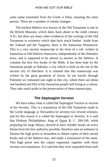same name translated from the Greek is Elias, meaning the same person. There are a number of similar changes.

The earliest Hebrew text known of the Old Testament is one in the British Museum, which dates back about to the ninth century A.D.; but there are many other evidences of the writings of the Old Testament in existence which date back much further. Aside from the Talmud and the Targums, there is the Samaritan Pentateuch. This is a very ancient manuscript in the form of a roll, written in Samaritan or Old Hebrew characters, independently of the Orthodox Jews, and is supposed to be almost as ancient as the Hebrew. It contains the first five books of the Bible. It has been kept by the Samaritan people at Nabulus, a city which is built on the site of the ancient city of Shechem. It is claimed that this manuscript was written by the great grandson of Aaron. In our travels through Palestine we remained one night in this city, where there are about one hundred and fifty of the Samaritan people still living as a colony. They take much pride in the preservation of these manuscripts.

#### **The Septuagint Version**

We have today what is called the Septuagint Version or version of the Seventy. This is a translation of the Old Testament made in the Greek language at Alexandria by seventy-two Jewish scholars, and for this reason it is called the Septuagint or Seventy. It is said that Ptolemy Philadelphus, king of Egypt B. C. 284-246, while preparing his large library, desired to have reliable books on every theme from the best authority possible; therefore sent an embassy to Eleazar the high priest at Jerusalem to obtain copies of their sacred books and of the Hebrew law, and make a translation of the same. This high priest sent the copies requested, together with these seventy-two translators. It is said that they were separated from each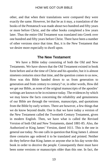other, and that when their translations were compared they were exactly the same. However, let that be as it may, a translation of the books of the Pentateuch was made about two hundred and fifty years or more before Christ, and the other books completed a few years later. Thus the entire Old Testament was translated into Greek over one hundred and fifty years before Christ. There have been a number of other versions since that time. But, it is the New Testament that we desire more especially to dwell upon.

#### **The New Testament**

We have a Bible today consisting of both the Old and New Testaments. We have shown that the Old Testament existed in book form before and at the time of Christ and his apostles; but it is almost nineteen centuries since that time, and the question comes to us now, How was this Bible handed down to us from generation to generation and from century to century? or, in other words, How did we get our Bible, as none of the original manuscripts of the apostles' writings are known to be in existence today. The evidences by which we may know the facts concerning the reliability and genuineness of our Bible are through the versions, manuscripts, and quotations from the Bible by early writers. There are however, a few things that we do know beyond doubt. One is that we have today a version of the New Testament called the Twentieth Century Testament, given in modern English. Then, we have what is called the Revised Version of both Old and New Testaments, dated 1881-85. Also, the Authorized or King James' Version, dated 1611. This is the one in general use today. No one calls in question that King James I. almost three centuries ago ordered it to be translated and printed. Neither do they believe that King James or anyone else in his day wrote this book in order to deceive the people. Consequently there must have been some versions or manuscripts older than this one. In fact, the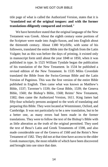title page of what is called the Authorized Version, states that it is "**translated out of the original tongues: and with the former translations diligently compared and revised.**"

We have heretofore stated that the original language of the New Testament was Greek. About the eighth century some portions of the Scripture were made into Anglo-Saxon, and into English about the thirteenth century. About 1380 Wycliffe, with some of his followers, translated the entire Bible into the English from the Latin Vulgate; but as this was before the days of printing, it existed only in manuscript form until about the year 1848 or 1850, when it was published in type. In 1525 William Tyndale began the publication of his translation of the New Testament. In 1534 he published a revised edition of the New Testament. In 1535 Miles Coverdale translated the Bible from the Swiss-German Bible and the Latin Version of Pagninus. This was the first version of the entire Bible published in English. Then came what was known as Matthew's Bible, 1537; Taverner's 1539; the Great Bible, 1539; the Geneva Bible, 1560; the Bishop's Bible, 1568; Reims' New Testament, 1582; then came the Authorized Version, 1611. King James had fifty-four scholarly persons assigned to the work of translating and preparing this Bible. They were located at Westminster, Oxford, and Cambridge. It was not particularly to be a new translation, but to be a better one, as many errors had been made in the former translations. They were to follow the text of the Bishop's Bible with as little alteration as the truth of the original permitted. They used the text of Beza's Latin and Greek Testaments of 1598, and also made considerable use of the Geneva of 1560 and the Reim's New Testament of 1582. They did not at that time have access to the older Greek manuscripts, the most reliable of which have been discovered and brought into use since that date.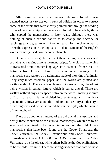After some of these older manuscripts were found it was deemed necessary to get out a revised edition in order to correct some of the errors that were clearly pointed out through the reading of the older manuscripts, and some also found to be made by those who copied the manuscripts in later years, although there was nothing of such a serious nature as to change the doctrine or teachings to any great extent. Another reason for the change was to bring the expression in the English up to date, as many of the English words formerly used have become obsolete.

But now we must go further back than the English versions, and see what we can find among the manuscripts. A version is that which is translated from another language. For instance, from Greek to Latin or from Greek to English or some other language. The manuscripts are written on parchments made of the skins of animals. They very much resemble paper, and the words are printed and written with ink. There are two classes of Greek writing; the oldest being written in capital letters, which is called uncial. These are written without any extra space between the words, making it quite difficult to read. It is not divided into sentences, and is without punctuation. However, about the ninth or tenth century another style of writing was used, which is called the cursive style, which is a kind of running hand.

There are about one hundred of the old uncial manuscripts and nearly three thousand of the cursive manuscripts which are to be seen and examined. The most important of the old Greek manuscripts that have been found are the Codex Sinaiticus, the Codex Vaticanus, the Codex Alexandrinus, and Codex Ephraemi. These date back from A. D. 300 to A. D. 450. Some claim the Codex Vaticanus to be the oldest, while others believe the Codex Sinaiticus to be the oldest volume. There are strong evidence that both of these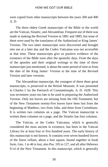were copied from other manuscripts between the years 300 and 400 A. D.

The three oldest Greek manuscripts of the Bible in the world are the Vatican, Sinaitic, and Alexandrian. Frequent use of them was made in making the Revised Version in 1881 and 1885; but none of them were used by the translators of the Authorized or King James' Version. The two latter manuscripts were discovered and brought into use at a later day and the Codex Vaticanus was not accessible at that time. These manuscripts give us positive evidence of the existence of the Bible soon after the apostolic days. From the days of the apostles and their original writings to the time of these manuscripts just mentioned, is about the same period of time as from the date of the King James' Version to the time of the Revised Version and later versions.

The Alexandrian manuscript, the youngest of these three great manuscripts, is preserved in the British Museum. It was presented to Charles I. by the Patriarch of Constantinople, A. D. 1628. This was seventeen years too late to be used in preparing the Authorized Version. Only ten leaves are missing from the Old Testament; but of the New Testament twenty-five leaves have been lost from the beginning of Matthew, two from John, and three from Corinthians. It is written two columns on a page. The Vatican manuscript is written three columns on a page, and the Sinaitic has four columns.

The Vatican, or the Codex Vaticanus, which is generally considered the most ancient in existence, has been in the Vatican Library for at least four or five hundred years. The early history of this manuscript is not known. It contains over seven hundred leaves of the finest vellum, about a foot square, bound together in book form. Gen. 1 to 46 is lost, also Psa. 105 to 127, and all after Hebrews 9:14 of the New Testament. In this manuscript, which is generally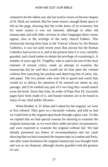claimed to be the oldest one, the last twelve verses of the last chapter of St. Mark are omitted. But for some reason, enough blank space is left on the page, showing that the scribe knew of its existence; but for some reason it was not inserted, although in other old manuscripts and still older versions in other languages these verses appear; also in the writings of the early church Fathers. This manuscript having been kept in the Vatican Library by the Roman Catholics, it was not until recent years that anyone but the Roman Catholics had access to it, and at the present time it is very carefully guarded, and a hard matter to obtain the privilege of examining it. A number of years ago Dr. Tregelles, who is said to be one of the most eminent of textual critics, made an attempt to examine the manuscript but he said they would not let him open the volume without first searching his pockets and depriving him of pens, ink, and paper. The two priests who were left to guard and watch him would try to detract his attention if he seemed too intent on any passage, and if he studied any part of it too long they would snatch away the book. Since that time, by order of Pope Pius IX, facsimile pages have been made of it, and bound volumes are to be found in many of our chief public libraries.

When Brother A. D. Khan and I asked for the original, we were at first refused. They gave us a facsimile volume, and told us that we could look at the original open book through a glass case. To this we replied that we had special reasons for desiring to examine the original manuscript, as we were there under peculiar circumstances, and were expected to examine the original without fail. We had already presented our letters of recommendation and our cards showing that we had examined the manuscripts in London and Paris, and after some hesitation the original manuscript was brought forth and was at our disposal, although closely guarded with the greatest of care.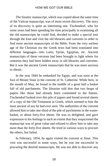The Sinaitic manuscript, which was copied about the same time of the Vatican manuscript, was of more recent discovery. The story of its discovery is quite an interesting one. Tischendorf, who for some years had been spending his time principally in examining all the old manuscripts he could find, decided to make a special tour through the East and visit the old libraries and convents in order to find more ancient manuscripts of the Bible. From the very earliest age of the Christian era the Greek texts had been translated into different languages—into Latin, Syrias, Egyptian, etc. Ancient manuscripts of these versions had been brought to light where for centuries they had been hidden away in old libraries and convents. But it was the ancient Greek manuscripts that he was more anxious to obtain.

In the year 1844 he embarked for Egypt, and was soon at the foot of Mount Sinai in the convent of St. Catherine. While here, in the month of May, he found in the middle of a great hall a basket full of old parchments. The librarian told him that two heaps of papers like those had already been committed to the flames. Tischendorf looked over this pile of papers and found several sheets of a copy of the Old Testament in Greek, which seemed to him the most ancient of any he had ever seen. The authorities of the convent allowed him to take one-third of the pile of parchments in the wastebasket, or about forty-five sheets. He was so delighted, and gave expression to his feelings to such an extent that they suspicioned the manuscript was of great value and refused to allow him to take any more than the forty-five sheets. He tried in various ways to procure the others, but failed.

In February, 1854, he again visited the convent at Sinai. This visit was successful in some ways, but he was not successful in procuring the desired manuscripts. He was not able to discover any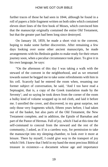further traces of those he had seen in 1844, although he found in a roll of papers a little fragment written on both sides which contained eleven short lines of the first book of Moses, which convinced him that the manuscript originally contained the entire Old Testament, but that the greater part had been long since destroyed.

On January 18, 1859, he made a short visit to the convent, hoping to make some further discoveries. After remaining a few days looking over some other ancient manuscripts, he made arrangements with his Bedouin guides to make ready for their return journey soon, when a peculiar circumstance took place. To give it in his own language, he says:

"On the afternoon of this day I was taking a walk with the steward of the convent in the neighborhood, and as we returned towards sunset he begged me to take some refreshments with him in his cell. Scarcely had he entered the room when, resuming our former subject of conversation, he said, 'And I too have read a Septuagint, that is, a copy of the Greek translation made by the Seventy'; and so saying he took down from the corner of the room a bulky kind of volume wrapped up in red cloth, and laid it before me. I unrolled the cover, and discovered, to my great surprise, not only those very fragments which, fifteen years before, I had taken out of the basket, but also parts of the Old Testament, the New Testament complete, and in addition, the Epistle of Barnabas and part of the Pastor of Hermas. Full of joy, which I had at this time the self-command to conceal from the steward and the rest of the community, I asked, as if in a careless way, for permission to take the manuscript into my sleeping-chamber, to look over it more at leisure. There by myself, I could give way to the transport of joy which I felt. I knew that I held in my hand the most precious Biblical treasure in existence—a document whose age and importance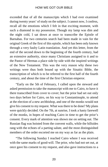exceeded that of all the manuscripts which I had ever examined during twenty years' of study on the subject. I cannot now, I confess, recall all the emotions which I felt in that exciting moment, with such a diamond in my possession. Though my lamp was dim and the night cold, I sat down at once to transcribe the Epistle of Barnabas. For two centuries search had been made in vain for the original Greek of the first of this epistle, which has been only known through a very faulty Latin translation. And yet this letter, from the end of the second down to the beginning of the fourth century, had an extensive authority, since many Christians assigned to it and to the Pastor of Hermas a place side by side with the inspired writings of the New Testament. This was the very reason why these two writings were thus both bound up with the Sinaitic Bible, the transcription of which is to be referred to the first half of the fourth century, and about the time of the first Christian emperor.

"Early on the 5th of February, I called upon the steward and asked permission to take the manuscript with me to Cairo, to have it there transcribed from cover to cover; but the prior had set out only two days before for Cairo, on his way to Constantinople, to attend at the election of a new archbishop, and one of the monks would not give his consent to my request. What was there to be done? My plans were quickly decided. On the 7th, at sunrise, I took a hasty farewell of the monks, in hopes of reaching Cairo in time to get the prior's consent. Every mark of attention was shown me on setting out. The Russian flag was hoisted from the convent walls, while the hillsides rang with the echoes of a parting salute, and the most distinguished members of the order escorted me on my way as far as the plain.

"The following Sunday I reached Cairo where I was received with the same marks of good-will. The prior, who had not set out, at once gave his consent to my request, and also gave instructions to a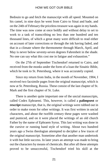Bedouin to go and fetch the manuscript with all speed. Mounted on his camel, in nine days he went from Cairo to Sinai and bade, and on the 24th of February the priceless treasure was again in my hands. The time was now come at once boldly and without delay to set to work to a task of transcribing no less than one hundred and ten thousand lines, of which a great many were difficult to read either on account of later corrections or through the ink having faded, and that in a climate where the thermometer through March, April, and May is never below seventy-seven degrees Fahrenheit in the shade. No one can say what this cost me in fatigue and exhaustion."

On the 27th of September Tischendorf returned to Cairo, and received from the monks under the form of a loan the Sinaitic Bible, which he took to St. Petersburg, where it was accurately copied.

Since my return from India, in the month of November, 1904, I received two facsimile pages from the original manuscript, which is now at St. Petersburg, Russia. These consist of the last chapter of St. Mark and the first chapter of St. Luke.

There is another quite important one of the uncial manuscripts, called Codex Ephraemi. This, however, is called a **palimpsest** or **rescript** manuscript, that is, the original writings were rubbed out in order to make room for other writings. It was first written in uncial characters, and about the twelfth century these pages were washed and pumiced, and on it were placed the writings of an old church Father by the name of Ephraem Syrus. This last writing was done in the cursive or running hand style of writing. About two hundred years ago a Swiss theologian attempted to decipher a few traces of the original manuscript. Sometime after that another man undertook it with but little success. In later years an attempt was made to bring out the characters by means of chemicals. But after all these attempts proved to be unsuccessful, Tischendorf tried his skill at the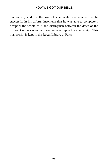manuscript, and by the use of chemicals was enabled to be successful in his efforts, insomuch that he was able to completely decipher the whole of it and distinguish between the dates of the different writers who had been engaged upon the manuscript. This manuscript is kept in the Royal Library at Paris.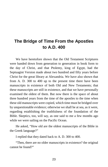# **The Bridge of Time From the Apostles to A.D. 400**

We have heretofore shown that the Old Testament Scriptures were handed down from generation to generation in book form to the day of Christ, and that Ptolemy, king of Egypt, had the Septuagint Version made about two hundred and fifty years before Christ for the great library at Alexandria. We have also shown that from A. D. 300 to 400 up to the present time there have been manuscripts in existence of both Old and New Testaments; that these manuscripts are still in existence, and that we have personally examined the oldest of them. But now there is the space of about three hundred years from the time of the apostles to the time when these old manuscripts were copied, which time must be bridged over by unquestionable evidence; otherwise we shall be at sea, as it were, regarding establishing the truthfulness of the foundation of the Bible. Skeptics, too, will say, as one said to me a few months ago while we were sailing on the Pacific Ocean.

He asked, "How old are the oldest manuscripts of the Bible in the Greek language?"

I replied that they dated back to A. D. 300 to 400.

"Then, there are no older manuscripts in existence? the original cannot be found?"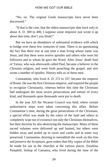"No, sir. The original Greek manuscripts have never been discovered."

"If that is the case, that the oldest manuscripts date back only to about A. D. 300 to 400, I suppose some impostor just wrote it up about that time, don't you think?"

But we have an abundance of substantial evidence with which to bridge over these few centuries of time. There is no questioning the fact that there was at one time a man living whose name was Jesus, and that there were twelve apostles and others who were his followers and to whom he gave the Word. After Jesus' death Saul of Tarsus, who was afterwards called Paul, became a believer in the Christian religion, and went forth preaching the gospel, and also wrote a number of epistles. History tells us of these men.

Constantine, who lived A. D. 272 to 337, became the emperor of Rome. He was the first Christian emperor, and required the people to recognize Christianity, whereas before this time the Christians had undergone the most severe persecutions and torture of every kind, and thousands upon thousands were put to death.

In the year 325 the Nicaean Council was held, where certain authoritative steps were taken concerning this affair. Before Constantine's time, during the great persecutions of the Christians, a special effort was made by the rulers of the land and others to completely wipe out of existence not only the Christians themselves, but their doctrine by also destroying the manuscripts. Many of these sacred volumes were delivered up and burned, but others were hidden away and sealed up in caves and vaults and in some way preserved. Constantine, desiring to reestablish the work on this line and preserve the Scriptures, gave orders that fifty copies of the Bible be made for use in the churches at the various places. Eusebius Pamphili, bishop of Caesarea, who lived during the time of the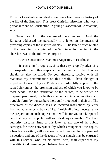Emperor Constantine and died a few years later, wrote a history of the life of the Emperor. This great Christian historian, who was a personal friend of Constantine, in giving his account of Constantine, says:

"Ever careful for the welfare of the churches of God, the Emperor addressed me personally in a letter on the means of providing copies of the inspired oracles. . . His letter, which related to the providing of copies of the Scriptures for reading in the churches, was to the following purport:

" 'Victor Constantine, Maximus Augustus, to Eusebius:

" 'It seems highly requisite, since that city is rapidly advancing in prosperity in all other respects, that the number of the churches should be also increased. Do you, therefore, receive with all readiness my determination on this behalf? I have thought it expedient to instruct your Prudence to order fifty copies of the sacred Scriptures, the provision and use of which you know to be most needful for the instruction of the church, to be written on prepared parchment, in a legible manner, and in a commodious and portable form, by transcribers thoroughly practiced in their art. The procurator of the diocese has also received instructions by letter from our Clemency to be careful to furnish all things necessary for the preparation of such copies; and it will be for you to take special care that they be completed with as little delay as possible. You have authority, also, in virtue of this letter, to use two of the public carriages for their conveyance, by which arrangement the copies, when fairly written, will most easily be forwarded for my personal inspection; and one of the deacons of your church may be entrusted with this service, who, on his arrival here, shall experience my liberality. God preserve you, beloved brother.'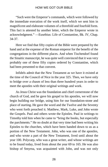"Such were the Emperor's commands, which were followed by the immediate execution of the work itself, which we sent him in magnificent and elaborate volumes of a threefold and fourfold form. This fact is attested by another letter, which the Emperor wrote in acknowledgment." —Eusebius: Life of Constantine, Bk. IV, Chap. 34-37.

Here we find that fifty copies of the Bible were prepared by the hand and at the expense of the Roman emperor for the benefit of the congregations in the different places. And when Tischendorf found the Sinaitic manuscript, he was quite well convinced that it was very probably one of these fifty copies ordered by Constantine, which had been presented to that convent.

Infidels admit that the New Testament as we have it existed at the time of the Council of Nice in the year 325. Then, we have only to bridge over a chasm of less than three hundred years in order to meet the apostles with their original writings and work.

As Jesus Christ was the foundation and chief cornerstone of the church of God, and he gave his gospel to his apostles, we will now begin building our bridge, using him for our foundation-stone and place of starting. He gave the word and the Twelve and the Seventy who went forth preached it. Matthew, Mark, Luke, and John wrote the Gospels. Paul and others wrote the Epistles. Paul in writings to Timothy told him when he came to "bring the books, but especially the parchments." He no doubt at that very time had been writing his Epistles to the churches, which have been handed down to us as a portion of the New Testament. John, who was one of the apostles, and who wrote a part of the New Testament, lived until about the year 100. Polycarp, who was a great writer, and whose writings are to be found today, lived from about the year 69 to 165. He was also bishop of Smyrna, was acquainted with John, and was not only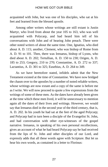acquainted with John, but was one of his disciples, who sat at his feet and learned from the blessed apostle.

Among other writers whose writings are still extant is Justin Martyr, who lived from about the year 105 to 163, who was well acquainted with Polycarp, and had heard him tell of his conversations with John and of hearing John preach. There were other noted writers of about the same time. One, Ignatius, who died about A. D. 115; another, Clement, who was bishop of Rome from A. D. 91 to 101. Then, there was Irenaeus, bishop of Lyons, who died about A. D. 202; Tertullian, A. D. 150 to 230; Origen, A. D. 185 to 253; Gregory, 210 to 270; Constantine, A. D. 272 to 337; Lactantius, A. D. 301 to 325; Eusebius, A. D. 264 to 349.

As we have heretofore stated, infidels admit that the New Testament existed at the time of Constantine. We have now bridged the chasm over to the apostles by a number of noted reliable writers, whose writings are now extant and a copy of the same is before me as I write. We will now proceed to quote a few expressions from the writings of some of these men. As the dates have already been given at the time which these men lived, it will be unnecessary to mention again all the dates of their lives and writings. However, we would say that Irenaeus died in the second year of the third century, that is, A. D. 202. In his youth he had sat at the feet of the aged Polycarp; and Polycarp had in turn been a disciple of the Evangelist St. John, and had conversation with other eye-witnesses of the gospel narrative. Irenaeus, in speaking of his own personal recollections, gives an account of what he had heard Polycarp say he had received from the lips of St. John and other disciples of our Lord, and expressly adds that all these words agree with Scripture. But let us hear his own words, as contained in a letter to Florinus: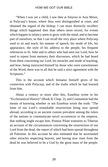"When I was yet a child, I saw thee at Smyrna in Asia Minor, at Polycarp's house, where thou wert distinguished at court, and obtained the regard of the bishop. I can more distinctly recollect things which happened then than others more recent; for events which happen in infancy seem to grow with the mind, and to become part of ourselves; so that I can recall the very place where Polycarp used to sit and teach, his manner of speech, his mode of life, his appearance, the style of his address to the people, his frequent references to St. John and to others who had seen our Lord; how he used to repeat from memory their discourses, which he had heard from them concerning our Lord, his miracles and mode of teaching, and how, being instructed himself by those who were eyewitnesses of the Word, there was in all that he said a strict agreement with the Scriptures."

This is the account which Irenaeus himself gives of his connection with Polycarp, and of the truths which he had learned from him.

About a century or more after this, Eusebius wrote in his "Ecclesiastical History" (Book II, Chap. 2), and Constantine had the means of knowing whether or not Eusebius wrote the truth: "The fame of our Lord's remarkable resurrection being now spread abroad, according to an ancient custom prevalent among the rulers of the nations to communicate novel occurrences to the emperor, that nothing might escape him, Pontius Pilate transmits to Tiberius an account of the circumstances concerning the resurrection of our Lord from the dead, the report of which had been spread throughout all Palestine. In this account he also intimated that he ascertained other miracles respecting heaven, and having now risen from the dead he was believed to be a God by the great mass of the people.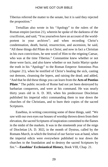Tiberius referred the matter to the senate, but it is said they rejected the proposition."

Tertullian also wrote in his "Apology" to the rulers of the Roman empire (section 21), wherein he spoke of the darkness of the crucifixion, and said, "You yourselves have an account of the worldportent in your archives"; and when recording Christ's condemnation, death, burial, resurrection, and ascension, he said, "All these things did Pilate do to Christ; and now in fact a Christian in his own convictions, he sent word of Him to the reigning Caesar, who was at the time Tiberius." Constantine knew whether or not these were facts, and also knew whether or not Justin Martyr spoke the truth in his "Apology" to the Roman Emperor Antoninus Pius (chapter 21), when he testified of Christ's healing the sick, casting out demons, cleansing the lepers, and raising the dead; and added, "And that he did these things you can learn from the **Acts of Pontius Pilate**." The public records of Rome had not yet been destroyed by barbarian conquerors, and were at his command. He was nearly thirty years old in A. D. 303, when his predecessor Diocletian published his imperial edict commanding them to tear down the churches of the Christians, and to burn their copies of the sacred Scriptures.

Eusebius, in writing concerning some of these things, said: "We saw with our own eyes our houses of worship thrown down from their elevation, the sacred Scriptures of inspiration committed to the flames in the midst of the markets. It was in the nineteenth year of the reign of Diocletian [A. D. 302], in the month of Dystrus, called by the Romans March, in which the festival of our Savior was at hand, when the imperial edicts were everywhere published to tear down the churches to the foundation and to destroy the sacred Scriptures by fire."—**Eusebius' Ecclesiastical History**, Book VIII, Chap. 21.

29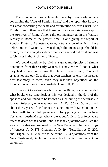There are numerous statements made by these early writers concerning the "Acts of Pontius Pilate," and the report that he gave to Caesar concerning the death and resurrection of Jesus Christ. And Eusebius and others say that these records or reports were kept in the Archives of Rome. Among the old manuscripts in the Vatican Library in Rome at the present time, is one giving the report of Pontius Pilate to Augustus Caesar, a translation of which I have before me as I write. But even though this manuscript should be forged, there is enough evidence that such a report did exist and was safely kept in the Archives of Rome.

We could continue by giving a great multiplicity of similar quotations from these early writers, but now we will notice what they had to say concerning the Bible. Irenaeus said, "So well established are our Gospels, that even teachers of error themselves bear testimony to them; even they rest their objections on the foundations of the Gospels."—**Adv. Haer**. III, 11, 7.

It was not Constantine who made the Bible, nor who decided what books were canonical, as this was decided in the days of the apostles and continued to be known as such during the centuries to follow. Polycarp, who was martyred A. D. 155 or 156 and lived about thirty years of his life at the same time with St. John, quotes in his epistle to the Philippians nearly forty passages from our New Testament. Justin Martyr, who wrote about A. D. 140, or forty years after the death of the apostle John, has many quotations and uses the very words that we now read in the New Testament. In the writings of Irenaeus, A. D. 178; Clement, A. D. 194; Tertullian, A. D. 200; and Origen, A. D. 230, are to be found 8,723 quotations from the New Testament, including every book which we accept as canonical.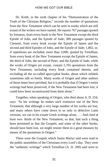Dr. Keith, in the sixth chapter of his "Demonstration of the Truth of the Christian Religion," records the number of quotations from the New Testament which can be seen in works which are still extant of the writers we have named. He reports 767 passages quoted by Irenaeus, from every book in the New Testament except the third Epistle of John, and the Epistle of Jude; 389 passages quoted by Clement, from every book except the Epistle of James and the second and third Epistles of John, and the Epistle of Jude; 1,802, or, if repetitions are included, more than 3,000, quoted by Tertullian, from every book of the New Testament except the Epistle of James, the third of John, the second of Peter, and the Epistle of Jude; while the works of Origen yet extant, contain 5,765 quotations from the New Testament, including every book contained therein, and excluding all the so-called apocryphal books, about which infidels sometimes talk so freely. Many works of Origen and other authors of those times have perished, but it is probable that if Origen's entire writings had been preserved, if the New Testament had been lost, it could have been reconstructed from them alone."

Tregelles, when speaking of Origen, who died about A. D. 254, says: "In his writings he makes such extensive use of the New Testament, that although a very large number of his works are lost, and many others have come down to us only in defective Latin versions, we can in his extant Greek writings alone, . . . find cited at least two- thirds of the New Testament; so that, had such a thing been permitted as that the Gospels, and some of the other books, should have been lost, we might restore them in a great measure by means of the quotations in Origen."

These were the Gospels which Justin Martyr said were read in the public assemblies of the Christians every Lord's day. They were the "authentic writings" which Tertullian (A. D. 200) said were to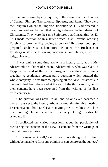be found in his time by any inquirer, in the custody of the churches of Corinth, Philippi, Thessalonica, Ephesus, and Rome. They were the Scriptures which the Emperor Diocletian (A. D. 300) ordered to be surrendered and burned, that he might destroy the foundations of Christianity. They were the same Scriptures that Constantine (A. D. 331) made mention of in a letter which is still extant, ordering Eusebius to provide fifty copies, to be carefully transcribed upon prepared parchments, as heretofore mentioned. Mr. Buchanan of Edinburg relates the following concerning Lord Hailes, a Scottish judge. He says:

"I was dining some time ago with a literary party at old Mr. Abercrombie's, father of General Abercrombie, who was slain in Egypt at the head of the British army, and spending the evening together. A gentleman present put a question which puzzled the whole company. It was this: 'Supposing all the New Testaments in the world had been destroyed at the end of the third century, could their contents have been recovered from the writings of the first three centuries?'

"The question was novel to all, and no one even hazarded a guess in answer to the inquiry. About two months after this meeting, I received a note from Lord Hailes inviting me to breakfast with him next morning. He had been one of the party. During breakfast he asked me if

I recollected the curious questions about the possibility of recovering the contents of the New Testament from the writings of the first three centuries.

" 'I remember it well,' said I, 'and have thought of it often, without being able to form any opinion or conjecture on the subject.'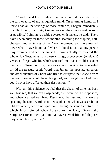" 'Well,' said Lord Hailes, 'that question quite accorded with the turn or taste of my antiquarian mind. On returning home, as I knew I had all the writings of those centuries, I began immediately to collect them, that I might set to work on the arduous task as soon as possible.' Pointing to a table covered with papers, he said, 'There have I been busy for these two months, searching for chapters, halfchapters, and sentences of the New Testament, and have marked down what I have found, and where I found it, so that any person may examine and see for himself. I have actually discovered the whole New Testament from those writings, except seven (or eleven) verses (I forget which), which satisfied me that I could discover them also.' 'Now,' said he, 'here was a way in which God concealed or hid the treasure of his Word, that Julian, the apostate emperor, and other enemies of Christ who tried to extirpate the Gospels from the world, never would have thought of; and though they had, they could never have effected their destruction.' "

With all this evidence we feel that the chasm of time has been well bridged; that we can clasp hands, as it were, with the apostles, and when we read our New Testament, feel assured that we are speaking the same words that they spoke; and when we search our Old Testament, we do not question it being the same Scriptures to which Jesus referred when he said to the Jews, "Search the Scriptures; for in them ye think ye have eternal life; and they are they which testify of me."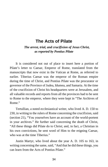### **The Acts of Pilate**

#### *The arrest, trial, and crucifixion of Jesus Christ, as reported by Pontius Pilate*

It is considered not out of place to insert here a portion of Pilate's letter to Caesar, Emperor of Rome, translated from the manuscripts that now exist in the Vatican at Rome, as referred to earlier. Tiberius Caesar was the emperor of the Roman empire during the time of Christ, and Pontius Pilate was the procurator or governor of the Province of Judea, Idumea, and Samaria. At the time of the crucifixion of Christ his headquarters were at Jerusalem, and all valuable records and reports from all the provinces had to be sent to Rome to the emperor, where they were kept in "The Archives of Rome."

Tertullian, a noted ecclesiastical writer, who lived A. D. 150 to 230, in writing to the rulers of Rome concerning the crucifixion, said (section 21), "You yourselves have an account of the world-portent in your archives." He further said concerning the death of Christ, "All these things did Pilate do to Christ; and, in fact, a Christian in his own convictions, he sent word of Him to the reigning Caesar, who was at the time Tiberius."

Justin Martyr, who lived about the year A. D. 105 to 163, in writing concerning the same, said, "And that he did these things, you can learn from the Acts of Pontius Pilate."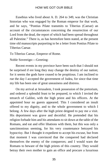Eusebius who lived about A. D. 264 to 349, was the Christian historian who was engaged by the Roman emperor for that work, and he says, "Pontius Pilate transmits to Tiberius (Caesar) an account of the circumstances concerning the resurrection of our Lord from the dead, the report of which had been spread throughout all Palestine." There is, as has heretofore been stated, at the present time old manuscripts purporting to be a letter from Pontius Pilate to Tiberius Caesar.

To Tiberius Caesar, Emperor of Rome.

Noble Sovereign:—Greeting:

Recent events in my province have been such that I should not be surprised if ere long they may change the destiny of our nation; for it seems the gods have ceased to be propitious. I am inclined to rue the day I accepted the government of Judea, for since that time my life has been one of great uneasiness and distress.

On my arrival at Jerusalem, I took possession of the pretorium, and ordered a splendid feast to be prepared, to which I invited the tetrarch of Galilee, with the high priest and his officers. At the appointed hour no guests appeared. This I considered an insult offered to my dignity, and to the whole government to which I belong. A few days after the high priest deigned to pay me a visit. His deportment was grave and deceitful. He pretended that his religion forbade him and his attendants to sit down at the table of the Romans, and eat and offer libations with them, but this was only a sanctimonious seeming, for his very countenance betrayed his hypocrisy. But I thought it expedient to accept his excuse, but from that moment I was convinced that the conquered had declared themselves the enemy of the conquerors; and I would warn the Romans to beware of the high priests of this country. They would betray their own mother to gain an office and procure a luxurious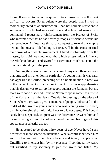living. It seemed to me, of conquered cities, Jerusalem was the most difficult to govern. So turbulent were the people that I lived in momentary dread of an insurrection. I had not soldiers sufficient to suppress it. I only had one centurion and a hundred men at my command. I requested a reinforcement from the Prefect of Syria, who informed me that he had scarcely troops sufficient to defend his own province. An insatiate thirst for conquest to extend our empire beyond the means of defending it, I fear, will be the cause of final overthrow of our whole government. I lived in obscurity from the masses, for I did not know what those high priests might influence the rabble to do; yet I endeavored to ascertain as much as I could the mind and standing of the people.

Among the various rumors that came to my ears, there was one that attracted my attention in particular. A young man, it was said, had appeared in Galilee, preaching with a noble unction, a new law in the name of the God that had sent him. At first I was apprehensive that his design was to stir up the people against the Romans; but my fears were soon dispelled. Jesus of Nazareth spake rather as a friend of the Romans than the Jews. One day in passing by the place of Siloe, where there was a great concourse of people, I observed in the midst of the group a young man who was leaning against a tree, calmly addressing the multitude. I was told it was Jesus. This I could easily have suspected, so great was the difference between him and those listening to him. His golden colored hair and beard gave to his appearance a celestial aspect.

He appeared to be about thirty years of age. Never have I seen a sweeter or more serene countenance. What a contrast between him and his hearers, with their black beards and tawny complexions. Unwilling to interrupt him by my presence, I continued my walk, but signified to my secretary to join the group and listen. My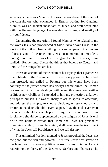secretary's name was Manlius. He was the grandson of the chief of the conspirators who encamped in Etruria waiting for Cataline. Manlius was an ancient inhabitant of Judea, and well-acquainted with the Hebrew language. He was devoted to me, and worthy of my confidence.

On entering the pretorium I found Manlius, who related to me the words Jesus had pronounced at Siloe. Never have I read in the works of the philosophers anything that can compare to the maxims of Jesus. One of the rebellious Jews, so numerous in Jerusalem, having asked him if it was lawful to give tribute to Caesar, Jesus replied: "Render unto Caesar the things that belong to Caesar, and unto God the things that are his."

It was on account of the wisdom of his sayings that I granted so much liberty to the Nazarene; for it was in my power to have had him arrested, and exiled to Pontus; but this would have been contrary to the justice which has always characterized the Roman government in all her dealings with men; this man was neither seditious nor rebellious; I extended to him my protection, unknown perhaps to himself. He was at liberty to act, to speak, to assemble, and address the people, to choose disciples, unrestrained by any Pretorian mandate. Should it ever happen, (may the gods ever avert the omen!) should it ever happen, I say, that the religion of our forefathers should be supplemented by the religion of Jesus, it will be to this noble toleration that Rome shall owe her premature obsequies, while I, miserable wretch, shall have been the instrument of what the Jews call Providence, and we call destiny.

This unlimited freedom granted to Jesus provoked the Jews, not the poor, but the rich and powerful. It is true, Jesus was severe on the latter, and this was a political reason, in my opinion, for not restraining the liberty of the Nazarene. "Scribes and Pharisees," he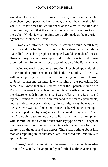would say to them, "you are a race of vipers; you resemble painted sepulchers; you appear well unto men, but you have death within you." At other times he would sneer at the alms of the rich and proud, telling them that the mite of the poor was more precious in the sight of God. New complaints were daily made at the pretorium against the insolence of Jesus.

I was even informed that some misfortune would befall him; that it would not be the first time that Jerusalem had stoned those that called themselves prophets; an appeal would be made of Caesar. However, my conduct was approved by the Senate, and I was promised a reinforcement after the termination of the Parthean war.

Being too weak to suppress a sedition, I resolved upon adopting a measure that promised to establish the tranquility of the city, without subjecting the pretorium to humiliating concession. I wrote to Jesus, requesting an interview with him at the pretorium. He came. You know that in my veins flows the Spanish mixed with Roman blood—as incapable of fear as it is of puerile emotion. When the Nazarene made his appearance, I was walking in my Basilic, and my feet seemed fastened with an iron hand to the marble pavements, and I trembled in every limb as a guilty culprit, though he was calm; the Nazarene was as calm as innocence itself. When he came up to me he stopped, and by a signal sign he seemed to say to me, "I am here"; though he spoke not a word. For some time I contemplated with admiration and awe this extraordinary type of man—a type of man unknown to our numerous painters who have given form and figure to all the gods and the heroes. There was nothing about him that was repelling in its character, yet I felt awed and tremulous to approach him.

"Jesus," said I unto him at last—and my tongue faltered— "Jesus of Nazareth, I have granted you for the last three years ample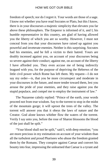freedom of speech; nor do I regret it. Your words are those of a sage. I know not whether you have read Socrates or Plato, but this I know, there is in your discourses a majestic simplicity that elevates you far above these philosophers. The Emperor is informed of it, and I, his humble representative in this country, am glad of having allowed you the liberty of which you are so worthy. However, I must not conceal from you that your discourses have raised up against you powerful and inveterate enemies. Neither is this surprising. Socrates had his enemies, and he fell a victim to their hatred. Yours are doubly incensed against you, on account of your discourses being so severe against their conduct; against me, on account of the liberty I have afforded you. They even accuse me of being indirectly leagued with you, for the purpose of depriving the Hebrews of the little civil power which Rome has left them. My request—I do not say my order—is, that you be more circumspect and moderate in your discourses in the future, and more tender toward them, lest you arouse the pride of your enemies, and they raise against you the stupid populace, and compel me to employ the instrument of law."

The Nazarene calmly replied: "Prince of the earth, your words proceed not from true wisdom. Say to the torrent to stop in the midst of the mountain gorge; it will uproot the trees of the valley. The torrent will answer you that it obeys the laws of nature and the Creator. God alone knows whither flow the waters of the torrent. Verily I say unto you, before the rose of Sharon blossoms the blood of the just shall be spilt."

"Your blood shall not be spilt," said I, with deep emotion; "you are more precious in my estimation on account of your wisdom than all the turbulent and proud Pharisees who abuse the freedom granted them by the Romans. They conspire against Caesar and convert his bounty into fear, impressing the unlearned that Caesar is a tyrant and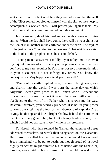seeks their ruin. Insolent wretches, they are not aware that the wolf of the Tiber sometimes clothes himself with the skin of the sheep to accomplish his wicked ends. I will protect you against them. My pretorium shall be an asylum, sacred both day and night."

Jesus carelessly shook his head and said with a grave and divine smile: "When the day shall have come, there will be no asylums for the Son of man, neither in the earth nor under the earth. The asylum of the just is there," pointing to the heavens. "That which is written in the books of the prophets must be accomplished."

"Young man," answered I mildly, "you oblige me to convert my request into an order. The safety of the province, which has been confided to my care, requires it. You must observe more moderation in your discourses. Do not infringe my order. You know the consequences. May happiness attend you; farewell."

"Prince of the earth," replied Jesus, "I come to bring peace, love and charity into the world. I was born the same day on which Augustus Caesar gave peace to the Roman world. Persecutions proceed not from me. I expect it from others, and will meet it in obedience to the will of my Father who has shown me the way. Restrain, therefore, your worldly prudence. It is not in your power to arrest the victim at the foot of the tabernacle of expiation." So saying, he disappeared like a bright shadow behind the curtains of the Basilic to my great relief, for I felt a heavy burden on me, from which I could not extricate myself while in his presence.

To Herod, who then reigned in Galilee, the enemies of Jesus addressed themselves, to wreak their vengeance on the Nazarene. Had Herod consulted his own inclinations, he would have ordered Jesus immediately to be put to death; but though proud of his royal dignity an act that might diminish his influence with the Senate, or, like me, was afraid of Jesus himself. But it would never do for a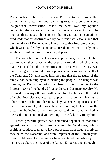Roman officer to be scared by a Jew. Previous to this Herod called on me at the pretorium, and, on rising to take leave, after some insignificant conversation, asked me what was my opinion concerning the Nazarene. I replied that Jesus appeared to me to be one of those great philosophers that great nations sometimes produced; that his doctrines are by no means sacrilegious, and that the intentions of Rome were to leave him to that freedom of speech which was justified by his actions. Herod smiled maliciously, and, saluting me with an ironical respect, departed.

The great feast of the Jews was approaching, and the intention was to avail themselves of the popular exultation which always manifests itself at the solemnities of a Passover. The city was overflowing with a tumultuous populace, clamoring for the death of the Nazarene. My emissaries informed me that the treasurer of the temple had been employed in bribing the people. The danger was pressing. A Roman centurion had been insulted. I wrote to the Prefect of Syria for a hundred foot soldiers, and as many cavalry. He declined. I saw myself alone with a handful of veterans in the midst of a rebellious city, too weak to suppress a disorder, and having no other choice left but to tolerate it. They had seized upon Jesus, and the seditious rabble, although they had nothing to fear from the pretorium, believing, as their leaders had told them, that I winked at their sedition—continued vociferating: "Crucify him! Crucify him!"

Three powerful parties had combined together at that time against Jesus: First, the Herodians and the Sadducees, whose seditious conduct seemed to have proceeded from double motives; they hated the Nazarene, and were impatient of the Roman yoke. They could never forgive me for having entered the holy city with banners that bore the image of the Roman Emperor; and although in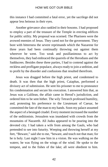this instance I had committed a fatal error, yet the sacrilege did not appear less heinous in their eyes.

Another grievance also rankled in their bosoms. I had proposed to employ a part of the treasure of the Temple in erecting edifices for public utility. My proposal was scorned. The Pharisees were the avowed enemies of Jesus. They cared not for the government. They bore with bitterness the severe reprimands which the Nazarene for three years had been continually throwing out against them wherever he went. Too weak and pusillanimous to act by themselves, they had embraced the quarrels of the Herodians and the Sadducees. Besides these three parties, I had to contend against the reckless and profligate populace, always ready to join a sedition, and to profit by the disorder and confusions that resulted therefrom.

Jesus was dragged before the high priest, and condemned to death. It was then that the high priest, Caiaphas, performed a divisory act of submission. He sent his prisoner to me to pronounce his condemnation and secure his execution. I answered him that, as Jesus was a Galilean, the affair came in Herod's jurisdiction, and ordered him to be sent hither. The wily Tetrarch professed humility, and, protesting his preference to the Lieutenant of Caesar, he committed the fate of the man to my hands. Soon my palace assumed the aspect of a besieged citadel. Every moment increased the number of the seditionists. Jerusalem was inundated with crowds from the mountains of Nazareth. All Judea appeared to be pouring into the devoted city. I had taken a wife from among the Gauls, who had pretended to see into futurity. Weeping and throwing herself at my feet, "Beware," said she to me, "beware, and touch not that man; for he is holy. Last night I saw him in a vision. He was walking on the waters; he was flying on the wings of the wind. He spoke to the tempest, and to the fishes of the lake; all were obedient to him.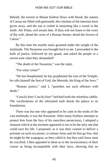Behold, the torrent in Mount Kedron flows with blood, the statues of Caesar are filled with gemonide; the columns of the interium have given away, and the sun is veiled in mourning like a vestal in the tomb. Ah! Pilate, evil awaits thee. If thou wilt not listen to the vows of thy wife, dread the curse of a Roman Senate; dread the frowns of Caesar."

By this time the marble stairs groaned under the weight of the multitude. The Nazarene was brought back to me. I proceeded to the halls of justice, followed by my guard, and asked the people in a severe tone what they demanded?

"The death of the Nazarene," was the reply.

"For what crime?"

"He has blasphemed; he has prophesied the ruin of the Temple; he calls himself the Son of God, the Messiah, the King of the Jews."

"Roman justice," said I, "punishes not such offenses with death."

"Crucify him! Crucify him!" belched forth the relentless rabble. The vociferations of the infuriated mob shook the palace to its foundations.

There was but one who appeared to be calm in the midst of the vast multitude; it was the Nazarene. After many fruitless attempts to protect him from the fury of his merciless persecutors, I adopted a measure which at the moment appeared to me to be the only one that could save his life. I proposed, as it was their custom to deliver a prisoner on such occasions, to release Jesus and let him go free, that he might be the scapegoat, as they called it; but they said Jesus must be crucified. I then appealed to them as to the inconsistency of their course as being incompatible with their laws, showing that no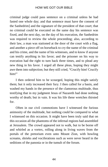criminal judge could pass sentence on a criminal unless he had fasted one whole day; and that sentence must have the consent of the Sanhedrim] and the signature of the president of that court; that no criminal could be executed on the same day his sentence was fixed, and the next day, on the day of his execution, the Sanhedrim was required to review the whole proceeding; also, according to their law, a man was stationed at the door of the court with a flag, and another a piece off on horseback to cry the name of the criminal and his crime, and the name of his witnesses, and to know if anyone can testify anything in his favor; and the prisoner on his way to execution had the right to turn back three times, and to plead any new thing in his favor. I urged all these pleas, hoping they might awe them into subjection; but they still cried, "Crucify him! Crucify him!"

I then ordered him to be scourged, hoping this might satisfy them; but it only increased their fury. I then called for a basin, and washed my hands in the presence of the clamorous multitude, thus testifying that in my judgment Jesus of Nazareth had done nothing worthy of death; but in vain. It was his life these wretches thirsted for.

Often in our civil commotions have I witnessed the furious animosity of the multitude, but nothing could be compared to what I witnessed on this occasion. It might have been truly said that on this occasion all the phantoms of the infernal regions had assembled at Jerusalem. The crowd appeared not to walk, but to be borne off and whirled as a vortex, rolling along in living waves from the portals of the pretorium even unto Mount Zion, with howling screams, shrieks and vociferations such as were never heard in the seditions of the panonia or in the tumult of the forum.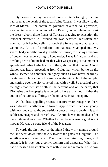By degrees the day darkened like a winter's twilight, such as had been at the death of the great Julius Caesar. It was likewise the Ides of March. I, the continued governor of a rebellious province, was leaning against a column of my Basilic, contemplating athwart the dreary gloom these fiends of Tartarus dragging to execution the innocent Nazarene. All around me was deserted. Jerusalem had vomited forth her indwellers through the funeral gate that leads to Gemonica. An air of desolation and sadness enveloped me. My guards had joined the cavalry, and the centurion, to display a shadow of power, was endeavoring to keep order. I was left alone, and my breaking heart admonished me that what was passing at that moment appertained rather to the history of the gods than that of men. A loud clamor was heard proceeding from Golgotha, which, borne on the winds, seemed to announce an agony such as was never heard by mortal ears. Dark clouds lowered over the pinnacle of the temple, and setting over the city covered it as with a veil. So dreadful were the signs that men saw both in the heavens and on the earth, that Dionysius the Areopagite is reported to have exclaimed, "Either the author of nature is suffering, or the universe is falling apart."

Whilst these appalling scenes of nature were transpiring, there was a dreadful earthquake in lower Egypt, which filled everybody with fear, and scared the superstitious Jews almost to death. It is said Balthasar, an aged and learned Jew of Antioch, was found dead after the excitement was over. Whether he died from alarm or grief is not known. He was a strong friend of the Nazarene.

Towards the first hour of the night I threw my mantle around me, and went down into the city toward the gates of Golgotha. The sacrifice was consummated. The crowd was returning home, still agitated, it is true, but gloomy, taciturn and desperate. What they had witnessed had stricken them with terror and remorse. I also saw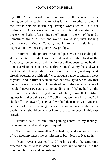my little Roman cohort pass by mournfully, the standard bearer having veiled his eagle in taken of grief; and I overheard some of the Jewish soldiers murmuring strange words which I did not understand. Others were recounting prodigies almost similar to those which had so often smitten the Romans by the will of the gods. Sometimes groups of men and women would halt, then, looking back towards Mount Calvary, would remain motionless in expectation of witnessing some new prodigy.

I returned to the pretorium sad and pensive. On ascending the stairs, the steps of which were still stained with the blood of the Nazarene, I perceived an old man in a suppliant posture, and behind him several Romans in tears. He threw himself at my feet and wept most bitterly. It is painful to see an old man weep, and my heart already overcharged with grief, we, though strangers, mutually wept together. And in truth it seemed that the tears lay very shallow that day with very many whom I perceived out of the vast concourse of people. I never saw such a complete division of feeling both on the extreme. Those that betrayed and sold him, those that testified against him, those that said, "Crucify him, we have his blood" all slunk off like cowardly curs, and washed their teeth with vinegar. As I am told that Jesus taught a resurrection and a separation after death, if such should be the fact I am sure it commenced in this vast crowd.

"Father," said I to him, after gaining control of my feelings, "who are you, and what is your request?"

"I am Joseph of Arimathea," replied he, "and am come to beg of you upon my knees the permission to bury Jesus of Nazareth."

"Your prayer is granted," said I to him; and at the same time ordered Manlius to take some soldiers with him to superintend the interment lest it should be profaned.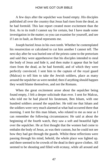A few days after the sepulcher was found empty. His disciples published all over the country that Jesus had risen from the dead, as he had foretold. This last report created more excitement than the first. As to its truth I cannot say for certain, but I have made some investigation in the matter; so you can examine for yourself, and see if I am in fault, as Herod represents me.

Joseph buried Jesus in his own tomb. Whether he contemplated his resurrection or calculated to cut him another I cannot tell. The next day after he was buried one of the priests came to the pretorium and said they were apprehensive that his disciples intended to steal the body of Jesus and hide it, and then make it appear that he had risen from the dead, as he had foretold, and of which they were perfectly convinced. I sent him to the captain of the royal guard (Malcus) to tell him to take the Jewish soldiers, place as many around the sepulcher as were needed; then if anything should happen they would blame themselves, and not the Romans.

When the great excitement arose about the sepulcher being found empty, I felt a deeper solicitude than ever. I sent for Malcus, who told me he had placed his lieutenant, Ben Isham, with one hundred soldiers around the sepulcher. He told me that Isham and the soldiers were very much alarmed at what had occurred there that morning. I sent for this man Isham, who related to me as near as I can remember the following circumstances: He said at about the beginning of the fourth watch, they saw a soft and beautiful light over the sepulcher. He at first thought that the women had come to embalm the body of Jesus, as was their custom, but he could not see how they had got through the guards. Whilst these reflections were passing through his mind, behold, the whole place was lighted up. and there seemed to be crowds of the dead in their grave clothes. All seemed to be shouting and filled with ecstasy, while all around and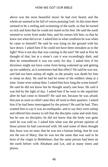above was the most beautiful music he had ever heard; and the whole air seemed to be full of voices praising God. At this time there seemed to be a reeling and swimming of the earth, so that he turned so sick and faint that he could not stand on his feet. He said the earth seemed to swim from under him, and his senses left him, so that he knew not what did occur. I asked him in what condition he was when he came to himself? He said he was lying on the ground with his face down. I asked him if he could not have been mistaken as to the light? Was it not day that was coming in the east? He said at first he thought of that, but at a stone's cast it was exceedingly dark; and then he remembered it was too early for day. I asked him if his dizziness might not have come from being wakened up and getting up too suddenly, as it sometimes had that effect? He said he was not, and had not been asleep all night, as the penalty was death for him to sleep on duty. He said he had let some of the soldiers sleep at a time. Some were asleep then. I asked him how long the scene lasted? He said he did not know but he thought nearly one hour. He said it was hid by the light of day. I asked him if he went to the sepulcher after he had come to himself? He said not, because he was afraid; that just as soon as relief came they all went to their quarters. I asked him if he had been interrogated by the priests? He said he had. They wanted him to say it was an earthquake, and to say they were asleep and offered him money to tell that the disciples came and stole him; but he saw no disciples; he did not know that the body was gone until he was told so. I asked him what was the private opinion of those priests he had conversed with. He said some of them thought that Jesus was no man; that he was not a human being; that he was not the son of Mary; that he was not the same that was said to be born of the virgin in Bethlehem; that the same person had been on the earth before with Abraham and Lot, and at many times and places.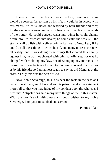It seems to me if the Jewish theory be true, these conclusions would be correct, for, to sum up his life, it would be in accord with this man's life, as is known and testified by both friends and foes; for the elements were no more in his hands than the clay in the hands of the potter. He could convert water into wine; he could change death into life, diseases into health; he could calm the seas, still the storms, call up fish with a silver coin in its mouth. Now, I say if he could do all these things—which he did, and many more as the Jews all testify; and it was doing these things that created this enmity against him; he was not charged with criminal offenses, nor was he charged with violating any law, nor of wronging any individual in person ; all these facts are known to thousands, as well by his foes as by his friends; so I am almost ready to say, as did Manulas at the cross, "Truly this was the Son of God."

Now, noble Sovereign, this is as near the facts in the case as I can arrive at them, and I have taken this pains to make the statement more full so that you may judge of my conduct upon the whole, as I hear that Antipater has said many hard things of me in this matter. With the promise of faithfulness and good wishes to my noble Sovereign, I am your most obedient servant

—Pontius Pilate